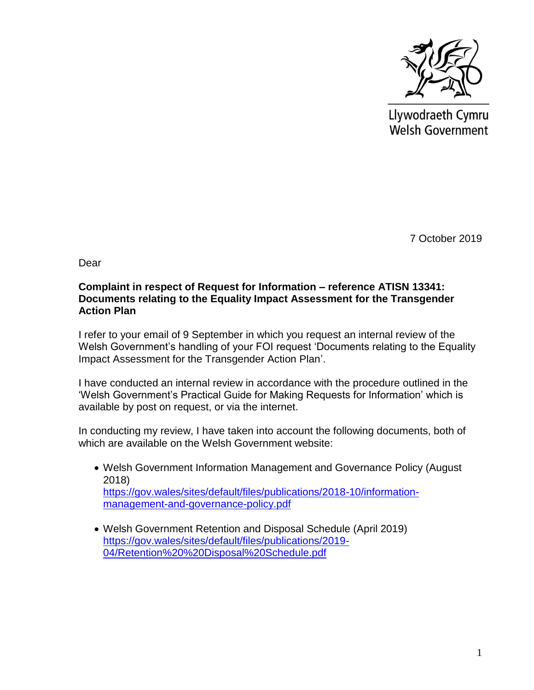

Llywodraeth Cymru **Welsh Government** 

7 October 2019

Dear

## **Complaint in respect of Request for Information – reference ATISN 13341: Documents relating to the Equality Impact Assessment for the Transgender Action Plan**

I refer to your email of 9 September in which you request an internal review of the Welsh Government's handling of your FOI request 'Documents relating to the Equality Impact Assessment for the Transgender Action Plan'.

I have conducted an internal review in accordance with the procedure outlined in the 'Welsh Government's Practical Guide for Making Requests for Information' which is available by post on request, or via the internet.

In conducting my review, I have taken into account the following documents, both of which are available on the Welsh Government website:

- Welsh Government Information Management and Governance Policy (August 2018) [https://gov.wales/sites/default/files/publications/2018-10/information](https://gov.wales/sites/default/files/publications/2018-10/information-management-and-governance-policy.pdf)[management-and-governance-policy.pdf](https://gov.wales/sites/default/files/publications/2018-10/information-management-and-governance-policy.pdf)
- Welsh Government Retention and Disposal Schedule (April 2019) [https://gov.wales/sites/default/files/publications/2019-](https://gov.wales/sites/default/files/publications/2019-04/Retention%20%20Disposal%20Schedule.pdf) [04/Retention%20%20Disposal%20Schedule.pdf](https://gov.wales/sites/default/files/publications/2019-04/Retention%20%20Disposal%20Schedule.pdf)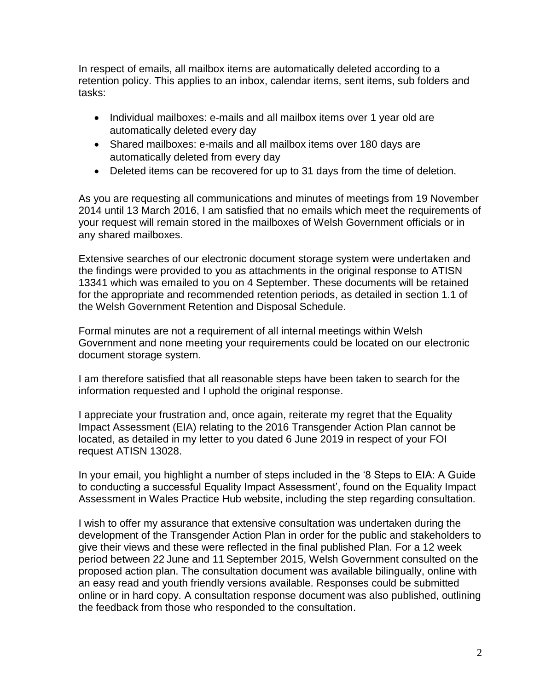In respect of emails, all mailbox items are automatically deleted according to a retention policy. This applies to an inbox, calendar items, sent items, sub folders and tasks:

- Individual mailboxes: e-mails and all mailbox items over 1 year old are automatically deleted every day
- Shared mailboxes: e-mails and all mailbox items over 180 days are automatically deleted from every day
- Deleted items can be recovered for up to 31 days from the time of deletion.

As you are requesting all communications and minutes of meetings from 19 November 2014 until 13 March 2016, I am satisfied that no emails which meet the requirements of your request will remain stored in the mailboxes of Welsh Government officials or in any shared mailboxes.

Extensive searches of our electronic document storage system were undertaken and the findings were provided to you as attachments in the original response to ATISN 13341 which was emailed to you on 4 September. These documents will be retained for the appropriate and recommended retention periods, as detailed in section 1.1 of the Welsh Government Retention and Disposal Schedule.

Formal minutes are not a requirement of all internal meetings within Welsh Government and none meeting your requirements could be located on our electronic document storage system.

I am therefore satisfied that all reasonable steps have been taken to search for the information requested and I uphold the original response.

I appreciate your frustration and, once again, reiterate my regret that the Equality Impact Assessment (EIA) relating to the 2016 Transgender Action Plan cannot be located, as detailed in my letter to you dated 6 June 2019 in respect of your FOI request ATISN 13028.

In your email, you highlight a number of steps included in the '8 Steps to EIA: A Guide to conducting a successful Equality Impact Assessment', found on the Equality Impact Assessment in Wales Practice Hub website, including the step regarding consultation.

I wish to offer my assurance that extensive consultation was undertaken during the development of the Transgender Action Plan in order for the public and stakeholders to give their views and these were reflected in the final published Plan. For a 12 week period between 22 June and 11 September 2015, Welsh Government consulted on the proposed action plan. The consultation document was available bilingually, online with an easy read and youth friendly versions available. Responses could be submitted online or in hard copy. A consultation response document was also published, outlining the feedback from those who responded to the consultation.